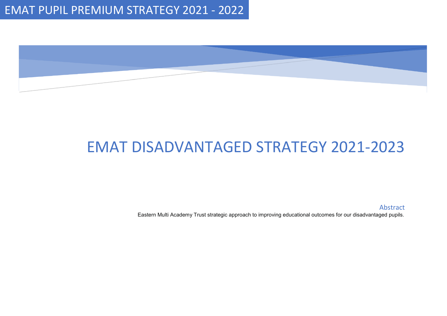

# EMAT DISADVANTAGED STRATEGY 2021-2023

Abstract

Eastern Multi Academy Trust strategic approach to improving educational outcomes for our disadvantaged pupils.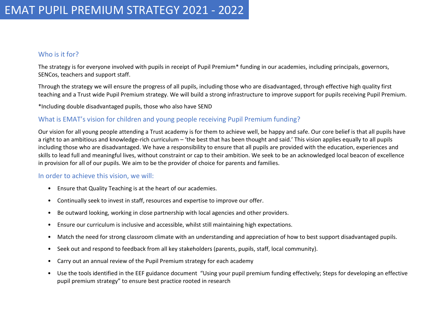#### Who is it for?

The strategy is for everyone involved with pupils in receipt of Pupil Premium\* funding in our academies, including principals, governors, SENCos, teachers and support staff.

Through the strategy we will ensure the progress of all pupils, including those who are disadvantaged, through effective high quality first teaching and a Trust wide Pupil Premium strategy. We will build a strong infrastructure to improve support for pupils receiving Pupil Premium.

\*Including double disadvantaged pupils, those who also have SEND

### What is EMAT's vision for children and young people receiving Pupil Premium funding?

Our vision for all young people attending a Trust academy is for them to achieve well, be happy and safe. Our core belief is that all pupils have a right to an ambitious and knowledge-rich curriculum – 'the best that has been thought and said.' This vision applies equally to all pupils including those who are disadvantaged. We have a responsibility to ensure that all pupils are provided with the education, experiences and skills to lead full and meaningful lives, without constraint or cap to their ambition. We seek to be an acknowledged local beacon of excellence in provision for all of our pupils. We aim to be the provider of choice for parents and families.

#### In order to achieve this vision, we will:

- Ensure that Quality Teaching is at the heart of our academies.
- Continually seek to invest in staff, resources and expertise to improve our offer.
- Be outward looking, working in close partnership with local agencies and other providers.
- Ensure our curriculum is inclusive and accessible, whilst still maintaining high expectations.
- Match the need for strong classroom climate with an understanding and appreciation of how to best support disadvantaged pupils.
- Seek out and respond to feedback from all key stakeholders (parents, pupils, staff, local community).
- Carry out an annual review of the Pupil Premium strategy for each academy
- Use the tools identified in the EEF guidance document "Using your pupil premium funding effectively; Steps for developing an effective pupil premium strategy" to ensure best practice rooted in research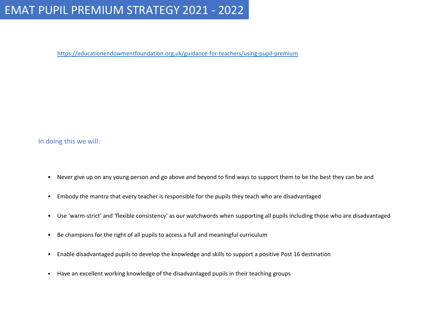## EMAT PUPIL PREMIUM STRATEGY 2021 - 2022

<https://educationendowmentfoundation.org.uk/guidance-for-teachers/using-pupil-premium>

#### In doing this we will:

- Never give up on any young person and go above and beyond to find ways to support them to be the best they can be and
- Embody the mantra that every teacher is responsible for the pupils they teach who are disadvantaged
- Use 'warm-strict' and 'flexible consistency' as our watchwords when supporting all pupils including those who are disadvantaged
- Be champions for the right of all pupils to access a full and meaningful curriculum
- Enable disadvantaged pupils to develop the knowledge and skills to support a positive Post 16 destination
- Have an excellent working knowledge of the disadvantaged pupils in their teaching groups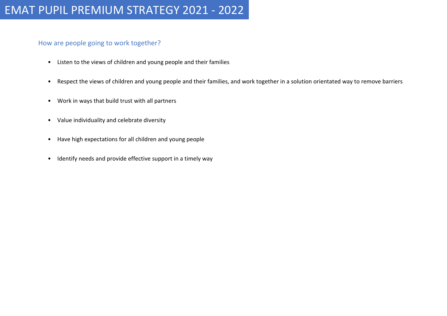#### How are people going to work together?

- Listen to the views of children and young people and their families
- Respect the views of children and young people and their families, and work together in a solution orientated way to remove barriers
- Work in ways that build trust with all partners
- Value individuality and celebrate diversity
- Have high expectations for all children and young people
- Identify needs and provide effective support in a timely way